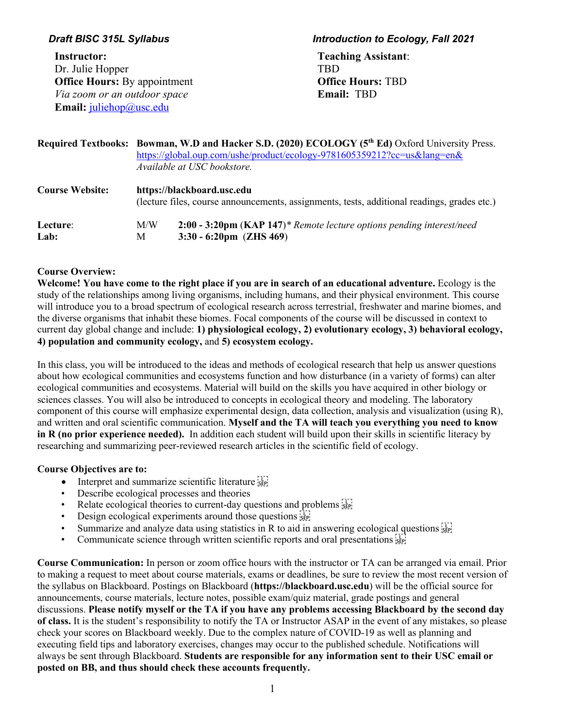**Instructor:** Dr. Julie Hopper **Office Hours: By appointment**  *Via zoom or an outdoor space* **Email:** juliehop@usc.edu

### *Draft BISC 315L Syllabus Introduction to Ecology, Fall 2021*

 **Teaching Assistant**: TBD  **Office Hours:** TBD **Email:** TBD

|                        | Required Textbooks: Bowman, W.D and Hacker S.D. (2020) ECOLOGY (5 <sup>th</sup> Ed) Oxford University Press.<br>https://global.oup.com/ushe/product/ecology-9781605359212?cc=us⟨=en&<br>Available at USC bookstore. |                                                                                                            |  |  |
|------------------------|---------------------------------------------------------------------------------------------------------------------------------------------------------------------------------------------------------------------|------------------------------------------------------------------------------------------------------------|--|--|
| <b>Course Website:</b> | https://blackboard.usc.edu<br>(lecture files, course announcements, assignments, tests, additional readings, grades etc.)                                                                                           |                                                                                                            |  |  |
| Lecture:<br>Lab:       | M/W<br>M                                                                                                                                                                                                            | 2:00 - 3:20pm (KAP 147)* Remote lecture options pending interest/need<br>$3:30 - 6:20 \text{pm}$ (ZHS 469) |  |  |

### **Course Overview:**

Welcome! You have come to the right place if you are in search of an educational adventure. Ecology is the study of the relationships among living organisms, including humans, and their physical environment. This course will introduce you to a broad spectrum of ecological research across terrestrial, freshwater and marine biomes, and the diverse organisms that inhabit these biomes. Focal components of the course will be discussed in context to current day global change and include: **1) physiological ecology, 2) evolutionary ecology, 3) behavioral ecology, 4) population and community ecology,** and **5) ecosystem ecology.**

In this class, you will be introduced to the ideas and methods of ecological research that help us answer questions about how ecological communities and ecosystems function and how disturbance (in a variety of forms) can alter ecological communities and ecosystems. Material will build on the skills you have acquired in other biology or sciences classes. You will also be introduced to concepts in ecological theory and modeling. The laboratory component of this course will emphasize experimental design, data collection, analysis and visualization (using R), and written and oral scientific communication. **Myself and the TA will teach you everything you need to know in R (no prior experience needed).** In addition each student will build upon their skills in scientific literacy by researching and summarizing peer-reviewed research articles in the scientific field of ecology.

## **Course Objectives are to:**

- Interpret and summarize scientific literature  $\frac{1}{15}$
- Describe ecological processes and theories
- Relate ecological theories to current-day questions and problems  $\frac{1}{2}$
- Design ecological experiments around those questions  $\frac{1}{15}$
- Summarize and analyze data using statistics in R to aid in answering ecological questions  $\frac{1}{3}$
- Communicate science through written scientific reports and oral presentations  $\frac{1}{25}$

**Course Communication:** In person or zoom office hours with the instructor or TA can be arranged via email. Prior to making a request to meet about course materials, exams or deadlines, be sure to review the most recent version of the syllabus on Blackboard. Postings on Blackboard (**https://blackboard.usc.edu**) will be the official source for announcements, course materials, lecture notes, possible exam/quiz material, grade postings and general discussions. **Please notify myself or the TA if you have any problems accessing Blackboard by the second day of class.** It is the student's responsibility to notify the TA or Instructor ASAP in the event of any mistakes, so please check your scores on Blackboard weekly. Due to the complex nature of COVID-19 as well as planning and executing field tips and laboratory exercises, changes may occur to the published schedule. Notifications will always be sent through Blackboard. **Students are responsible for any information sent to their USC email or posted on BB, and thus should check these accounts frequently.**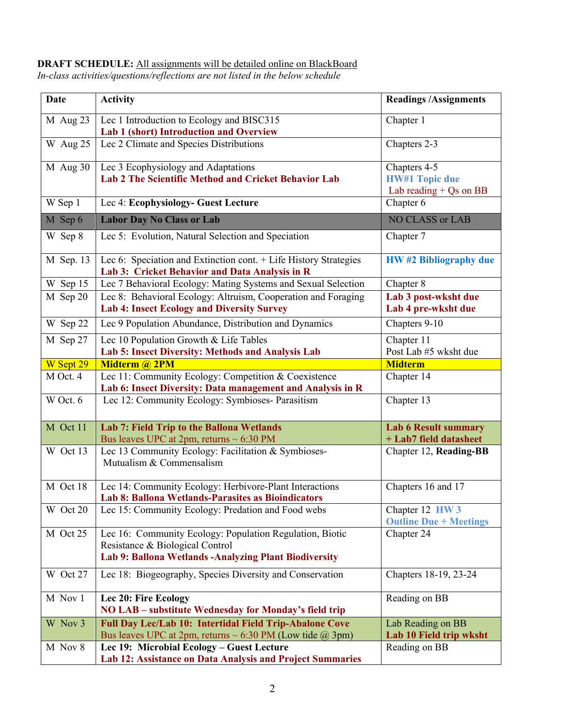#### **DRAFT SCHEDULE:** All assignments will be detailed online on BlackBoard *In-class activities/questions/reflections are not listed in the below schedule*

| <b>Date</b> | <b>Activity</b>                                                                                                                                       | <b>Readings /Assignments</b>                                      |
|-------------|-------------------------------------------------------------------------------------------------------------------------------------------------------|-------------------------------------------------------------------|
| $M$ Aug 23  | Lec 1 Introduction to Ecology and BISC315<br>Lab 1 (short) Introduction and Overview                                                                  | Chapter 1                                                         |
| W Aug 25    | Lec 2 Climate and Species Distributions                                                                                                               | Chapters 2-3                                                      |
| M Aug 30    | Lec 3 Ecophysiology and Adaptations<br><b>Lab 2 The Scientific Method and Cricket Behavior Lab</b>                                                    | Chapters 4-5<br><b>HW#1 Topic due</b><br>Lab reading $+$ Qs on BB |
| W Sep 1     | Lec 4: Ecophysiology- Guest Lecture                                                                                                                   | Chapter 6                                                         |
| M Sep 6     | <b>Labor Day No Class or Lab</b>                                                                                                                      | NO CLASS or LAB                                                   |
| W Sep 8     | Lec 5: Evolution, Natural Selection and Speciation                                                                                                    | Chapter 7                                                         |
| M Sep. 13   | Lec 6: Speciation and Extinction cont. + Life History Strategies<br>Lab 3: Cricket Behavior and Data Analysis in R                                    | <b>HW#2 Bibliography due</b>                                      |
| W Sep 15    | Lec 7 Behavioral Ecology: Mating Systems and Sexual Selection                                                                                         | Chapter 8                                                         |
| M Sep 20    | Lec 8: Behavioral Ecology: Altruism, Cooperation and Foraging<br><b>Lab 4: Insect Ecology and Diversity Survey</b>                                    | Lab 3 post-wksht due<br>Lab 4 pre-wksht due                       |
| W Sep 22    | Lec 9 Population Abundance, Distribution and Dynamics                                                                                                 | Chapters 9-10                                                     |
| M Sep 27    | Lec 10 Population Growth & Life Tables                                                                                                                | Chapter 11                                                        |
|             | Lab 5: Insect Diversity: Methods and Analysis Lab                                                                                                     | Post Lab #5 wksht due                                             |
| W Sept 29   | <b>Midterm @ 2PM</b>                                                                                                                                  | <b>Midterm</b>                                                    |
| M Oct. 4    | Lec 11: Community Ecology: Competition & Coexistence                                                                                                  | Chapter 14                                                        |
| W Oct. 6    | Lab 6: Insect Diversity: Data management and Analysis in R<br>Lec 12: Community Ecology: Symbioses- Parasitism                                        | Chapter 13                                                        |
| M Oct 11    | Lab 7: Field Trip to the Ballona Wetlands<br>Bus leaves UPC at $2pm$ , returns $\sim 6:30$ PM                                                         | <b>Lab 6 Result summary</b><br>+ Lab7 field datasheet             |
| W Oct 13    | Lec 13 Community Ecology: Facilitation & Symbioses-<br>Mutualism & Commensalism                                                                       | Chapter 12, Reading-BB                                            |
| M Oct 18    | Lec 14: Community Ecology: Herbivore-Plant Interactions<br>Lab 8: Ballona Wetlands-Parasites as Bioindicators                                         | Chapters 16 and 17                                                |
| W Oct 20    | Lec 15: Community Ecology: Predation and Food webs                                                                                                    | Chapter 12 HW 3<br><b>Outline Due + Meetings</b>                  |
| M Oct 25    | Lec 16: Community Ecology: Population Regulation, Biotic<br>Resistance & Biological Control<br>Lab 9: Ballona Wetlands - Analyzing Plant Biodiversity | Chapter 24                                                        |
| W Oct 27    | Lec 18: Biogeography, Species Diversity and Conservation                                                                                              | Chapters 18-19, 23-24                                             |
| M Nov 1     | Lec 20: Fire Ecology<br>NO LAB – substitute Wednesday for Monday's field trip                                                                         | Reading on BB                                                     |
| W Nov 3     | Full Day Lec/Lab 10: Intertidal Field Trip-Abalone Cove<br>Bus leaves UPC at 2pm, returns $\sim 6:30$ PM (Low tide @ 3pm)                             | Lab Reading on BB<br>Lab 10 Field trip wksht                      |
| M Nov 8     | Lec 19: Microbial Ecology - Guest Lecture<br>Lab 12: Assistance on Data Analysis and Project Summaries                                                | Reading on BB                                                     |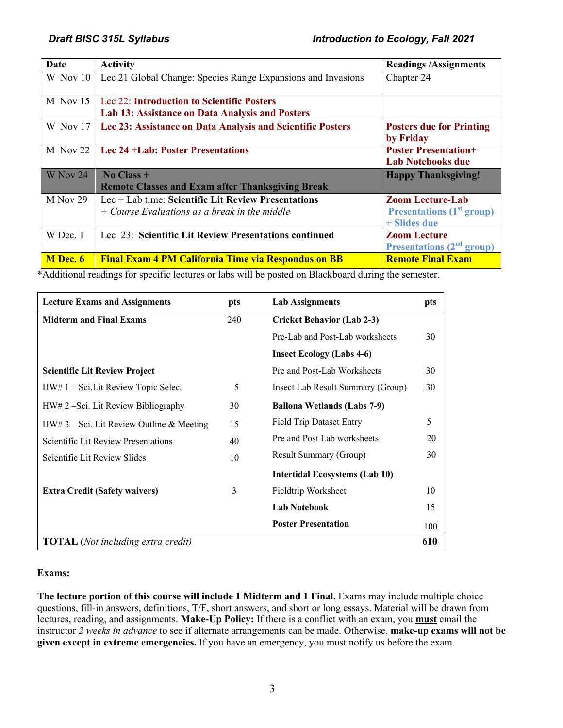| Date            | <b>Activity</b>                                                                                          | <b>Readings/Assignments</b>                                                   |
|-----------------|----------------------------------------------------------------------------------------------------------|-------------------------------------------------------------------------------|
| W Nov 10        | Lec 21 Global Change: Species Range Expansions and Invasions                                             | Chapter 24                                                                    |
| $M$ Nov 15      | Lec 22: Introduction to Scientific Posters<br>Lab 13: Assistance on Data Analysis and Posters            |                                                                               |
| W Nov 17        | Lec 23: Assistance on Data Analysis and Scientific Posters                                               | <b>Posters due for Printing</b><br>by Friday                                  |
| $M$ Nov 22      | <b>Lec 24 +Lab: Poster Presentations</b>                                                                 | <b>Poster Presentation+</b><br><b>Lab Notebooks due</b>                       |
| W Nov 24        | $No Class +$<br><b>Remote Classes and Exam after Thanksgiving Break</b>                                  | <b>Happy Thanksgiving!</b>                                                    |
| M Nov 29        | $Lec + Lab$ time: Scientific Lit Review Presentations<br>$+$ Course Evaluations as a break in the middle | <b>Zoom Lecture-Lab</b><br><b>Presentations</b> $(1st group)$<br>+ Slides due |
| W Dec. 1        | Lec 23: Scientific Lit Review Presentations continued                                                    | <b>Zoom Lecture</b><br><b>Presentations (2<sup>nd</sup> group)</b>            |
| <b>M</b> Dec. 6 | <b>Final Exam 4 PM California Time via Respondus on BB</b>                                               | <b>Remote Final Exam</b>                                                      |

\*Additional readings for specific lectures or labs will be posted on Blackboard during the semester.

| <b>Lecture Exams and Assignments</b>        | pts | <b>Lab Assignments</b>                | pts |
|---------------------------------------------|-----|---------------------------------------|-----|
| <b>Midterm and Final Exams</b>              | 240 | <b>Cricket Behavior (Lab 2-3)</b>     |     |
|                                             |     | Pre-Lab and Post-Lab worksheets       | 30  |
|                                             |     | <b>Insect Ecology (Labs 4-6)</b>      |     |
| <b>Scientific Lit Review Project</b>        |     | Pre and Post-Lab Worksheets           | 30  |
| $HW# 1 - Sci.Lit Review Topic Select.$      | 5   | Insect Lab Result Summary (Group)     | 30  |
| HW# 2 – Sci. Lit Review Bibliography        | 30  | <b>Ballona Wetlands (Labs 7-9)</b>    |     |
| $HW# 3 - Sci.$ Lit Review Outline & Meeting | 15  | <b>Field Trip Dataset Entry</b>       | 5   |
| Scientific Lit Review Presentations         | 40  | Pre and Post Lab worksheets           | 20  |
| Scientific Lit Review Slides                | 10  | <b>Result Summary (Group)</b>         | 30  |
|                                             |     | <b>Intertidal Ecosystems (Lab 10)</b> |     |
| <b>Extra Credit (Safety waivers)</b>        | 3   | Fieldtrip Worksheet                   | 10  |
|                                             |     | <b>Lab Notebook</b>                   | 15  |
|                                             |     | <b>Poster Presentation</b>            | 100 |
| <b>TOTAL</b> (Not including extra credit)   |     |                                       | 610 |

#### **Exams:**

**The lecture portion of this course will include 1 Midterm and 1 Final.** Exams may include multiple choice questions, fill-in answers, definitions, T/F, short answers, and short or long essays. Material will be drawn from lectures, reading, and assignments. **Make-Up Policy:** If there is a conflict with an exam, you **must** email the instructor *2 weeks in advance* to see if alternate arrangements can be made. Otherwise, **make-up exams will not be given except in extreme emergencies.** If you have an emergency, you must notify us before the exam.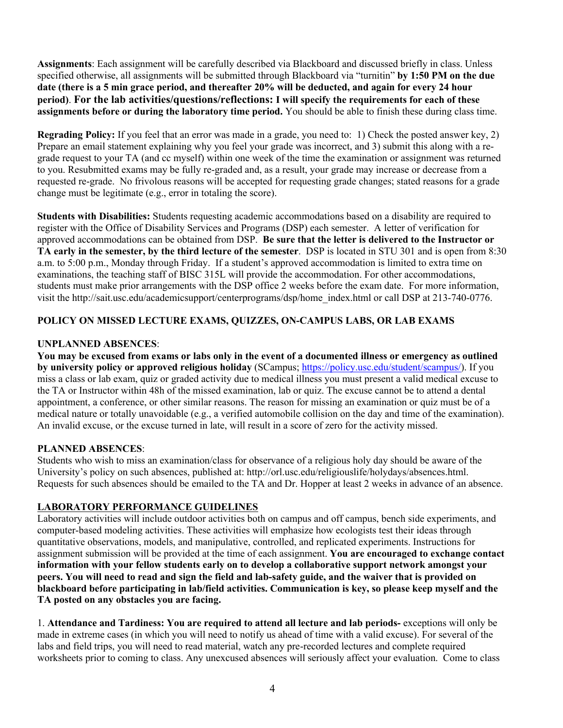**Assignments**: Each assignment will be carefully described via Blackboard and discussed briefly in class. Unless specified otherwise, all assignments will be submitted through Blackboard via "turnitin" **by 1:50 PM on the due date (there is a 5 min grace period, and thereafter 20% will be deducted, and again for every 24 hour period)**. **For the lab activities/questions/reflections: I will specify the requirements for each of these assignments before or during the laboratory time period.** You should be able to finish these during class time.

**Regrading Policy:** If you feel that an error was made in a grade, you need to: 1) Check the posted answer key, 2) Prepare an email statement explaining why you feel your grade was incorrect, and 3) submit this along with a regrade request to your TA (and cc myself) within one week of the time the examination or assignment was returned to you. Resubmitted exams may be fully re-graded and, as a result, your grade may increase or decrease from a requested re-grade. No frivolous reasons will be accepted for requesting grade changes; stated reasons for a grade change must be legitimate (e.g., error in totaling the score).

**Students with Disabilities:** Students requesting academic accommodations based on a disability are required to register with the Office of Disability Services and Programs (DSP) each semester. A letter of verification for approved accommodations can be obtained from DSP. **Be sure that the letter is delivered to the Instructor or TA early in the semester, by the third lecture of the semester**. DSP is located in STU 301 and is open from 8:30 a.m. to 5:00 p.m., Monday through Friday. If a student's approved accommodation is limited to extra time on examinations, the teaching staff of BISC 315L will provide the accommodation. For other accommodations, students must make prior arrangements with the DSP office 2 weeks before the exam date. For more information, visit the http://sait.usc.edu/academicsupport/centerprograms/dsp/home\_index.html or call DSP at 213-740-0776.

## **POLICY ON MISSED LECTURE EXAMS, QUIZZES, ON-CAMPUS LABS, OR LAB EXAMS**

## **UNPLANNED ABSENCES**:

**You may be excused from exams or labs only in the event of a documented illness or emergency as outlined by university policy or approved religious holiday** (SCampus; https://policy.usc.edu/student/scampus/). If you miss a class or lab exam, quiz or graded activity due to medical illness you must present a valid medical excuse to the TA or Instructor within 48h of the missed examination, lab or quiz. The excuse cannot be to attend a dental appointment, a conference, or other similar reasons. The reason for missing an examination or quiz must be of a medical nature or totally unavoidable (e.g., a verified automobile collision on the day and time of the examination). An invalid excuse, or the excuse turned in late, will result in a score of zero for the activity missed.

## **PLANNED ABSENCES**:

Students who wish to miss an examination/class for observance of a religious holy day should be aware of the University's policy on such absences, published at: http://orl.usc.edu/religiouslife/holydays/absences.html. Requests for such absences should be emailed to the TA and Dr. Hopper at least 2 weeks in advance of an absence.

## **LABORATORY PERFORMANCE GUIDELINES**

Laboratory activities will include outdoor activities both on campus and off campus, bench side experiments, and computer-based modeling activities. These activities will emphasize how ecologists test their ideas through quantitative observations, models, and manipulative, controlled, and replicated experiments. Instructions for assignment submission will be provided at the time of each assignment. **You are encouraged to exchange contact information with your fellow students early on to develop a collaborative support network amongst your peers. You will need to read and sign the field and lab-safety guide, and the waiver that is provided on blackboard before participating in lab/field activities. Communication is key, so please keep myself and the TA posted on any obstacles you are facing.**

1. **Attendance and Tardiness: You are required to attend all lecture and lab periods-** exceptions will only be made in extreme cases (in which you will need to notify us ahead of time with a valid excuse). For several of the labs and field trips, you will need to read material, watch any pre-recorded lectures and complete required worksheets prior to coming to class. Any unexcused absences will seriously affect your evaluation. Come to class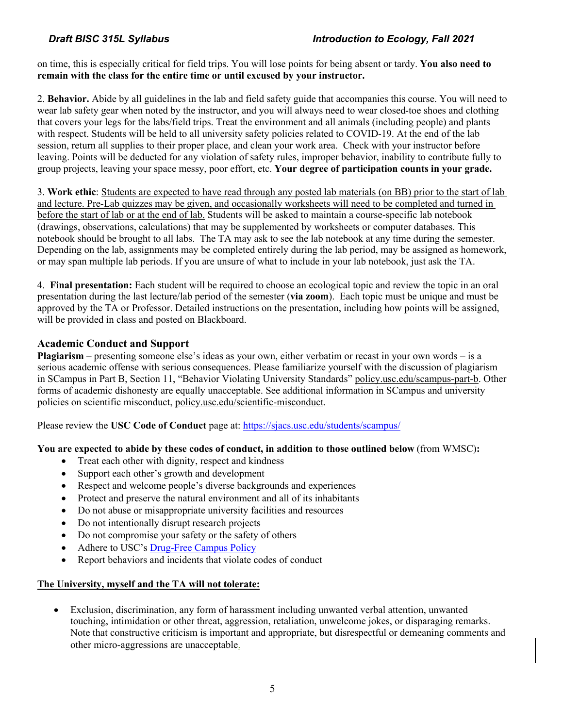on time, this is especially critical for field trips. You will lose points for being absent or tardy. **You also need to remain with the class for the entire time or until excused by your instructor.** 

2. **Behavior.** Abide by all guidelines in the lab and field safety guide that accompanies this course. You will need to wear lab safety gear when noted by the instructor, and you will always need to wear closed-toe shoes and clothing that covers your legs for the labs/field trips. Treat the environment and all animals (including people) and plants with respect. Students will be held to all university safety policies related to COVID-19. At the end of the lab session, return all supplies to their proper place, and clean your work area. Check with your instructor before leaving. Points will be deducted for any violation of safety rules, improper behavior, inability to contribute fully to group projects, leaving your space messy, poor effort, etc. **Your degree of participation counts in your grade.**

3. **Work ethic**: Students are expected to have read through any posted lab materials (on BB) prior to the start of lab and lecture. Pre-Lab quizzes may be given, and occasionally worksheets will need to be completed and turned in before the start of lab or at the end of lab. Students will be asked to maintain a course-specific lab notebook (drawings, observations, calculations) that may be supplemented by worksheets or computer databases. This notebook should be brought to all labs. The TA may ask to see the lab notebook at any time during the semester. Depending on the lab, assignments may be completed entirely during the lab period, may be assigned as homework, or may span multiple lab periods. If you are unsure of what to include in your lab notebook, just ask the TA.

4. **Final presentation:** Each student will be required to choose an ecological topic and review the topic in an oral presentation during the last lecture/lab period of the semester (**via zoom**). Each topic must be unique and must be approved by the TA or Professor. Detailed instructions on the presentation, including how points will be assigned, will be provided in class and posted on Blackboard.

# **Academic Conduct and Support**

**Plagiarism –** presenting someone else's ideas as your own, either verbatim or recast in your own words – is a serious academic offense with serious consequences. Please familiarize yourself with the discussion of plagiarism in SCampus in Part B, Section 11, "Behavior Violating University Standards" policy.usc.edu/scampus-part-b. Other forms of academic dishonesty are equally unacceptable. See additional information in SCampus and university policies on scientific misconduct, policy.usc.edu/scientific-misconduct.

Please review the **USC Code of Conduct** page at: https://sjacs.usc.edu/students/scampus/

## **You are expected to abide by these codes of conduct, in addition to those outlined below** (from WMSC)**:**

- Treat each other with dignity, respect and kindness
- Support each other's growth and development
- Respect and welcome people's diverse backgrounds and experiences
- Protect and preserve the natural environment and all of its inhabitants
- Do not abuse or misappropriate university facilities and resources
- Do not intentionally disrupt research projects
- Do not compromise your safety or the safety of others
- Adhere to USC's Drug-Free Campus Policy
- Report behaviors and incidents that violate codes of conduct

#### **The University, myself and the TA will not tolerate:**

• Exclusion, discrimination, any form of harassment including unwanted verbal attention, unwanted touching, intimidation or other threat, aggression, retaliation, unwelcome jokes, or disparaging remarks. Note that constructive criticism is important and appropriate, but disrespectful or demeaning comments and other micro-aggressions are unacceptable.